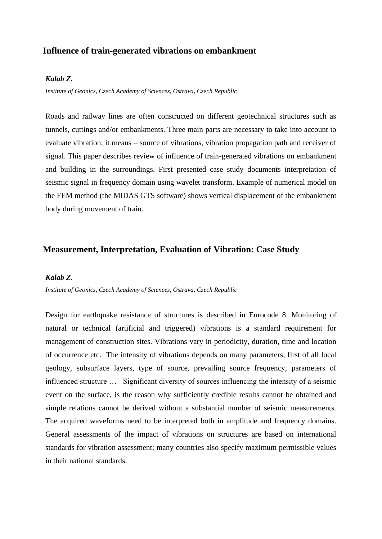## **Influence of train-generated vibrations on embankment**

### *Kalab Z.*

*Institute of Geonics, Czech Academy of Sciences, Ostrava, Czech Republic*

Roads and railway lines are often constructed on different geotechnical structures such as tunnels, cuttings and/or embankments. Three main parts are necessary to take into account to evaluate vibration; it means – source of vibrations, vibration propagation path and receiver of signal. This paper describes review of influence of train-generated vibrations on embankment and building in the surroundings. First presented case study documents interpretation of seismic signal in frequency domain using wavelet transform. Example of numerical model on the FEM method (the MIDAS GTS software) shows vertical displacement of the embankment body during movement of train.

## **Measurement, Interpretation, Evaluation of Vibration: Case Study**

### *Kalab Z.*

*Institute of Geonics, Czech Academy of Sciences, Ostrava, Czech Republic*

Design for earthquake resistance of structures is described in Eurocode 8. Monitoring of natural or technical (artificial and triggered) vibrations is a standard requirement for management of construction sites. Vibrations vary in periodicity, duration, time and location of occurrence etc. The intensity of vibrations depends on many parameters, first of all local geology, subsurface layers, type of source, prevailing source frequency, parameters of influenced structure … Significant diversity of sources influencing the intensity of a seismic event on the surface, is the reason why sufficiently credible results cannot be obtained and simple relations cannot be derived without a substantial number of seismic measurements. The acquired waveforms need to be interpreted both in amplitude and frequency domains. General assessments of the impact of vibrations on structures are based on international standards for vibration assessment; many countries also specify maximum permissible values in their national standards.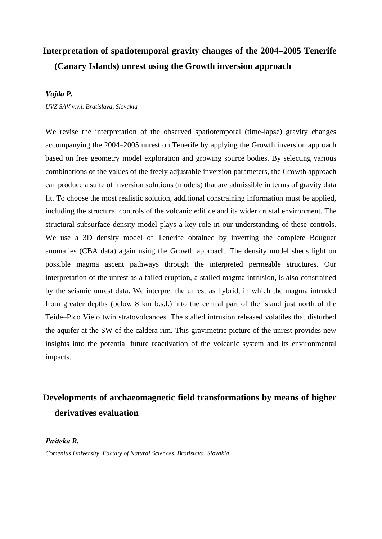# **Interpretation of spatiotemporal gravity changes of the 2004–2005 Tenerife (Canary Islands) unrest using the Growth inversion approach**

### *Vajda P.*

*UVZ SAV v.v.i. Bratislava, Slovakia*

We revise the interpretation of the observed spatiotemporal (time-lapse) gravity changes accompanying the 2004–2005 unrest on Tenerife by applying the Growth inversion approach based on free geometry model exploration and growing source bodies. By selecting various combinations of the values of the freely adjustable inversion parameters, the Growth approach can produce a suite of inversion solutions (models) that are admissible in terms of gravity data fit. To choose the most realistic solution, additional constraining information must be applied, including the structural controls of the volcanic edifice and its wider crustal environment. The structural subsurface density model plays a key role in our understanding of these controls. We use a 3D density model of Tenerife obtained by inverting the complete Bouguer anomalies (CBA data) again using the Growth approach. The density model sheds light on possible magma ascent pathways through the interpreted permeable structures. Our interpretation of the unrest as a failed eruption, a stalled magma intrusion, is also constrained by the seismic unrest data. We interpret the unrest as hybrid, in which the magma intruded from greater depths (below 8 km b.s.l.) into the central part of the island just north of the Teide–Pico Viejo twin stratovolcanoes. The stalled intrusion released volatiles that disturbed the aquifer at the SW of the caldera rim. This gravimetric picture of the unrest provides new insights into the potential future reactivation of the volcanic system and its environmental impacts.

# **Developments of archaeomagnetic field transformations by means of higher derivatives evaluation**

#### *Pašteka R.*

*Comenius University, Faculty of Natural Sciences, Bratislava, Slovakia*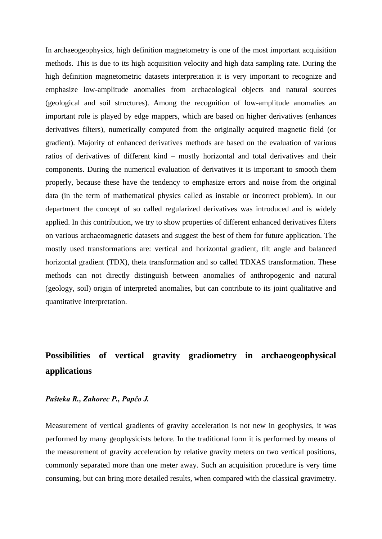In archaeogeophysics, high definition magnetometry is one of the most important acquisition methods. This is due to its high acquisition velocity and high data sampling rate. During the high definition magnetometric datasets interpretation it is very important to recognize and emphasize low-amplitude anomalies from archaeological objects and natural sources (geological and soil structures). Among the recognition of low-amplitude anomalies an important role is played by edge mappers, which are based on higher derivatives (enhances derivatives filters), numerically computed from the originally acquired magnetic field (or gradient). Majority of enhanced derivatives methods are based on the evaluation of various ratios of derivatives of different kind – mostly horizontal and total derivatives and their components. During the numerical evaluation of derivatives it is important to smooth them properly, because these have the tendency to emphasize errors and noise from the original data (in the term of mathematical physics called as instable or incorrect problem). In our department the concept of so called regularized derivatives was introduced and is widely applied. In this contribution, we try to show properties of different enhanced derivatives filters on various archaeomagnetic datasets and suggest the best of them for future application. The mostly used transformations are: vertical and horizontal gradient, tilt angle and balanced horizontal gradient (TDX), theta transformation and so called TDXAS transformation. These methods can not directly distinguish between anomalies of anthropogenic and natural (geology, soil) origin of interpreted anomalies, but can contribute to its joint qualitative and quantitative interpretation.

# **Possibilities of vertical gravity gradiometry in archaeogeophysical applications**

### *Pašteka R., Zahorec P., Papčo J.*

Measurement of vertical gradients of gravity acceleration is not new in geophysics, it was performed by many geophysicists before. In the traditional form it is performed by means of the measurement of gravity acceleration by relative gravity meters on two vertical positions, commonly separated more than one meter away. Such an acquisition procedure is very time consuming, but can bring more detailed results, when compared with the classical gravimetry.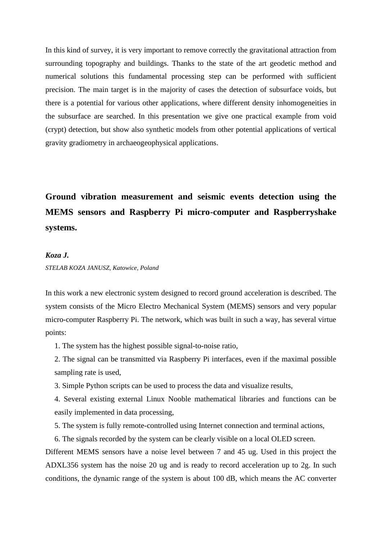In this kind of survey, it is very important to remove correctly the gravitational attraction from surrounding topography and buildings. Thanks to the state of the art geodetic method and numerical solutions this fundamental processing step can be performed with sufficient precision. The main target is in the majority of cases the detection of subsurface voids, but there is a potential for various other applications, where different density inhomogeneities in the subsurface are searched. In this presentation we give one practical example from void (crypt) detection, but show also synthetic models from other potential applications of vertical gravity gradiometry in archaeogeophysical applications.

# **Ground vibration measurement and seismic events detection using the MEMS sensors and Raspberry Pi micro-computer and Raspberryshake systems.**

#### *Koza J.*

#### *STELAB KOZA JANUSZ, Katowice, Poland*

In this work a new electronic system designed to record ground acceleration is described. The system consists of the Micro Electro Mechanical System (MEMS) sensors and very popular micro-computer Raspberry Pi. The network, which was built in such a way, has several virtue points:

1. The system has the highest possible signal-to-noise ratio,

2. The signal can be transmitted via Raspberry Pi interfaces, even if the maximal possible sampling rate is used,

3. Simple Python scripts can be used to process the data and visualize results,

4. Several existing external Linux Nooble mathematical libraries and functions can be easily implemented in data processing,

- 5. The system is fully remote-controlled using Internet connection and terminal actions,
- 6. The signals recorded by the system can be clearly visible on a local OLED screen.

Different MEMS sensors have a noise level between 7 and 45 ug. Used in this project the ADXL356 system has the noise 20 ug and is ready to record acceleration up to 2g. In such conditions, the dynamic range of the system is about 100 dB, which means the AC converter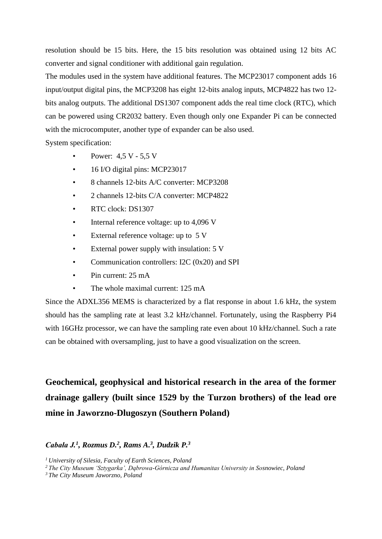resolution should be 15 bits. Here, the 15 bits resolution was obtained using 12 bits AC converter and signal conditioner with additional gain regulation.

The modules used in the system have additional features. The MCP23017 component adds 16 input/output digital pins, the MCP3208 has eight 12-bits analog inputs, MCP4822 has two 12 bits analog outputs. The additional DS1307 component adds the real time clock (RTC), which can be powered using CR2032 battery. Even though only one Expander Pi can be connected with the microcomputer, another type of expander can be also used.

System specification:

- Power:  $4.5 V 5.5 V$
- 16 I/O digital pins: MCP23017
- 8 channels 12-bits A/C converter: MCP3208
- 2 channels 12-bits C/A converter: MCP4822
- RTC clock: DS1307
- Internal reference voltage: up to 4,096 V
- External reference voltage: up to 5 V
- External power supply with insulation: 5 V
- Communication controllers: I2C (0x20) and SPI
- Pin current: 25 mA
- The whole maximal current: 125 mA

Since the ADXL356 MEMS is characterized by a flat response in about 1.6 kHz, the system should has the sampling rate at least 3.2 kHz/channel. Fortunately, using the Raspberry Pi4 with 16GHz processor, we can have the sampling rate even about 10 kHz/channel. Such a rate can be obtained with oversampling, just to have a good visualization on the screen.

**Geochemical, geophysical and historical research in the area of the former drainage gallery (built since 1529 by the Turzon brothers) of the lead ore mine in Jaworzno-Dlugoszyn (Southern Poland)**

## *Cabała J.<sup>1</sup> , Rozmus D.<sup>2</sup> , Rams A.<sup>3</sup> , Dudzik P.<sup>3</sup>*

*<sup>1</sup>University of Silesia, Faculty of Earth Sciences, Poland*

*<sup>2</sup>The City Museum 'Sztygarka', Dąbrowa-Górnicza and Humanitas University in Sosnowiec, Poland*

*<sup>3</sup> The City Museum Jaworzno, Poland*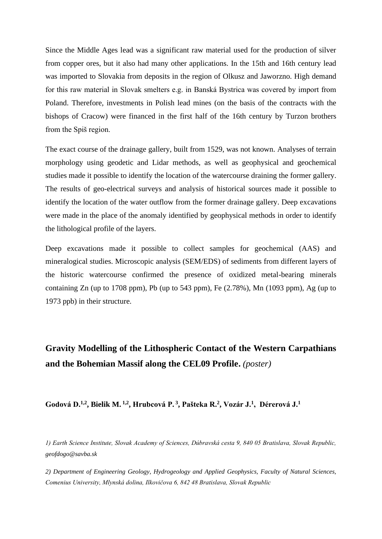Since the Middle Ages lead was a significant raw material used for the production of silver from copper ores, but it also had many other applications. In the 15th and 16th century lead was imported to Slovakia from deposits in the region of Olkusz and Jaworzno. High demand for this raw material in Slovak smelters e.g. in Banská Bystrica was covered by import from Poland. Therefore, investments in Polish lead mines (on the basis of the contracts with the bishops of Cracow) were financed in the first half of the 16th century by Turzon brothers from the Spiš region.

The exact course of the drainage gallery, built from 1529, was not known. Analyses of terrain morphology using geodetic and Lidar methods, as well as geophysical and geochemical studies made it possible to identify the location of the watercourse draining the former gallery. The results of geo-electrical surveys and analysis of historical sources made it possible to identify the location of the water outflow from the former drainage gallery. Deep excavations were made in the place of the anomaly identified by geophysical methods in order to identify the lithological profile of the layers.

Deep excavations made it possible to collect samples for geochemical (AAS) and mineralogical studies. Microscopic analysis (SEM/EDS) of sediments from different layers of the historic watercourse confirmed the presence of oxidized metal-bearing minerals containing  $Zn$  (up to 1708 ppm), Pb (up to 543 ppm), Fe  $(2.78\%)$ , Mn  $(1093 \text{ ppm})$ , Ag (up to 1973 ppb) in their structure.

# **Gravity Modelling of the Lithospheric Contact of the Western Carpathians and the Bohemian Massif along the CEL09 Profile.** *(poster)*

**Godová D. 1,2 , Bielik M. 1,2 , Hrubcová P. 3 , Pašteka R. 2 , Vozár J. 1 , Dérerová J. 1**

*1) Earth Science Institute, Slovak Academy of Sciences, Dúbravská cesta 9, 840 05 Bratislava, Slovak Republic, geofdogo@savba.sk*

*2) Department of Engineering Geology, Hydrogeology and Applied Geophysics, Faculty of Natural Sciences, Comenius University, Mlynská dolina, Ilkovičova 6, 842 48 Bratislava, Slovak Republic*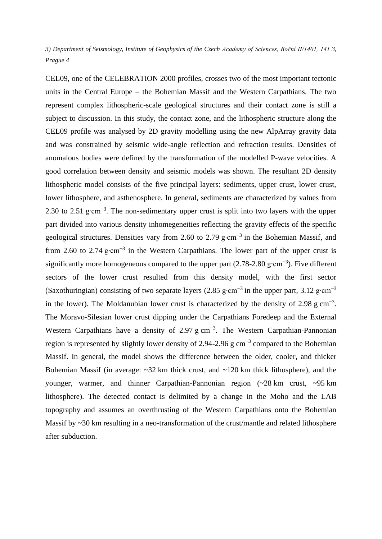*3) Department of Seismology, Institute of Geophysics of the Czech Academy of Sciences, Boční II/1401, 141 3, Prague 4*

CEL09, one of the CELEBRATION 2000 profiles, crosses two of the most important tectonic units in the Central Europe – the Bohemian Massif and the Western Carpathians. The two represent complex lithospheric-scale geological structures and their contact zone is still a subject to discussion. In this study, the contact zone, and the lithospheric structure along the CEL09 profile was analysed by 2D gravity modelling using the new AlpArray gravity data and was constrained by seismic wide-angle reflection and refraction results. Densities of anomalous bodies were defined by the transformation of the modelled P-wave velocities. A good correlation between density and seismic models was shown. The resultant 2D density lithospheric model consists of the five principal layers: sediments, upper crust, lower crust, lower lithosphere, and asthenosphere. In general, sediments are characterized by values from 2.30 to 2.51 g⋅cm<sup>-3</sup>. The non-sedimentary upper crust is split into two layers with the upper part divided into various density inhomegeneities reflecting the gravity effects of the specific geological structures. Densities vary from 2.60 to 2.79 g∙cm−3 in the Bohemian Massif, and from 2.60 to 2.74 g⋅cm<sup>-3</sup> in the Western Carpathians. The lower part of the upper crust is significantly more homogeneous compared to the upper part  $(2.78-2.80 \text{ g} \cdot \text{cm}^{-3})$ . Five different sectors of the lower crust resulted from this density model, with the first sector (Saxothuringian) consisting of two separate layers (2.85 g⋅cm<sup>-3</sup> in the upper part, 3.12 g⋅cm<sup>-3</sup> in the lower). The Moldanubian lower crust is characterized by the density of 2.98 g cm<sup>-3</sup>. The Moravo-Silesian lower crust dipping under the Carpathians Foredeep and the External Western Carpathians have a density of 2.97 g cm<sup>-3</sup>. The Western Carpathian-Pannonian region is represented by slightly lower density of 2.94-2.96 g  $cm^{-3}$  compared to the Bohemian Massif. In general, the model shows the difference between the older, cooler, and thicker Bohemian Massif (in average:  $\sim$ 32 km thick crust, and  $\sim$ 120 km thick lithosphere), and the younger, warmer, and thinner Carpathian-Pannonian region (~28 km crust, ~95 km lithosphere). The detected contact is delimited by a change in the Moho and the LAB topography and assumes an overthrusting of the Western Carpathians onto the Bohemian Massif by ~30 km resulting in a neo-transformation of the crust/mantle and related lithosphere after subduction.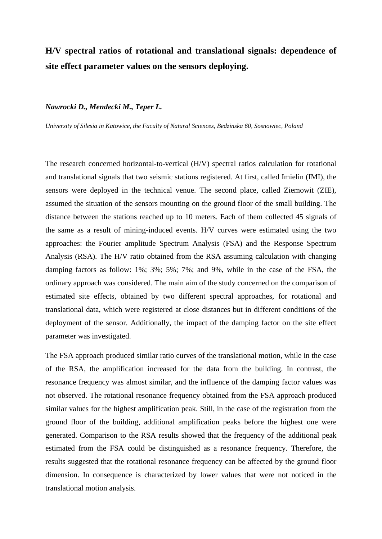# **H/V spectral ratios of rotational and translational signals: dependence of site effect parameter values on the sensors deploying.**

#### *Nawrocki D., Mendecki M., Teper L.*

*University of Silesia in Katowice, the Faculty of Natural Sciences, Bedzinska 60, Sosnowiec, Poland*

The research concerned horizontal-to-vertical (H/V) spectral ratios calculation for rotational and translational signals that two seismic stations registered. At first, called Imielin (IMI), the sensors were deployed in the technical venue. The second place, called Ziemowit (ZIE), assumed the situation of the sensors mounting on the ground floor of the small building. The distance between the stations reached up to 10 meters. Each of them collected 45 signals of the same as a result of mining-induced events. H/V curves were estimated using the two approaches: the Fourier amplitude Spectrum Analysis (FSA) and the Response Spectrum Analysis (RSA). The H/V ratio obtained from the RSA assuming calculation with changing damping factors as follow: 1%; 3%; 5%; 7%; and 9%, while in the case of the FSA, the ordinary approach was considered. The main aim of the study concerned on the comparison of estimated site effects, obtained by two different spectral approaches, for rotational and translational data, which were registered at close distances but in different conditions of the deployment of the sensor. Additionally, the impact of the damping factor on the site effect parameter was investigated.

The FSA approach produced similar ratio curves of the translational motion, while in the case of the RSA, the amplification increased for the data from the building. In contrast, the resonance frequency was almost similar, and the influence of the damping factor values was not observed. The rotational resonance frequency obtained from the FSA approach produced similar values for the highest amplification peak. Still, in the case of the registration from the ground floor of the building, additional amplification peaks before the highest one were generated. Comparison to the RSA results showed that the frequency of the additional peak estimated from the FSA could be distinguished as a resonance frequency. Therefore, the results suggested that the rotational resonance frequency can be affected by the ground floor dimension. In consequence is characterized by lower values that were not noticed in the translational motion analysis.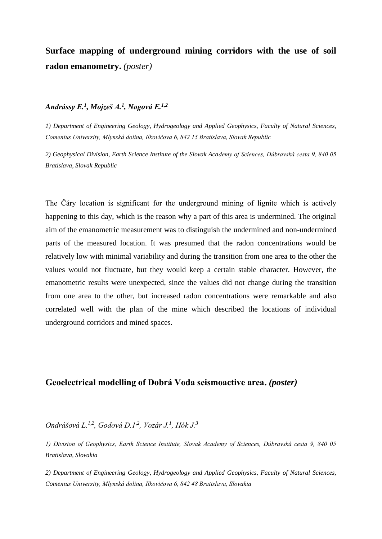# **Surface mapping of underground mining corridors with the use of soil radon emanometry.** *(poster)*

### *Andrássy E.<sup>1</sup> , Mojzeš A.<sup>1</sup> , Nogová E.1,2*

*1) Department of Engineering Geology, Hydrogeology and Applied Geophysics, Faculty of Natural Sciences, Comenius University, Mlynská dolina, Ilkovičova 6, 842 15 Bratislava, Slovak Republic*

*2) Geophysical Division, Earth Science Institute of the Slovak Academy of Sciences, Dúbravská cesta 9, 840 05 Bratislava, Slovak Republic*

The Čáry location is significant for the underground mining of lignite which is actively happening to this day, which is the reason why a part of this area is undermined. The original aim of the emanometric measurement was to distinguish the undermined and non-undermined parts of the measured location. It was presumed that the radon concentrations would be relatively low with minimal variability and during the transition from one area to the other the values would not fluctuate, but they would keep a certain stable character. However, the emanometric results were unexpected, since the values did not change during the transition from one area to the other, but increased radon concentrations were remarkable and also correlated well with the plan of the mine which described the locations of individual underground corridors and mined spaces.

## **Geoelectrical modelling of Dobrá Voda seismoactive area.** *(poster)*

*Ondrášová L.1,2, Godová D.1,2, Vozár J.<sup>1</sup> , Hók J.<sup>3</sup>*

*1) Division of Geophysics, Earth Science Institute, Slovak Academy of Sciences, Dúbravská cesta 9, 840 05 Bratislava, Slovakia*

*2) Department of Engineering Geology, Hydrogeology and Applied Geophysics, Faculty of Natural Sciences, Comenius University, Mlynská dolina, Ilkovičova 6, 842 48 Bratislava, Slovakia*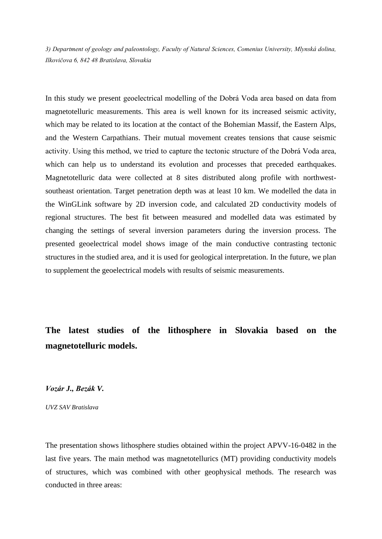*3) Department of geology and paleontology, Faculty of Natural Sciences, Comenius University, Mlynská dolina, Ilkovičova 6, 842 48 Bratislava, Slovakia*

In this study we present geoelectrical modelling of the Dobrá Voda area based on data from magnetotelluric measurements. This area is well known for its increased seismic activity, which may be related to its location at the contact of the Bohemian Massif, the Eastern Alps, and the Western Carpathians. Their mutual movement creates tensions that cause seismic activity. Using this method, we tried to capture the tectonic structure of the Dobrá Voda area, which can help us to understand its evolution and processes that preceded earthquakes. Magnetotelluric data were collected at 8 sites distributed along profile with northwestsoutheast orientation. Target penetration depth was at least 10 km. We modelled the data in the WinGLink software by 2D inversion code, and calculated 2D conductivity models of regional structures. The best fit between measured and modelled data was estimated by changing the settings of several inversion parameters during the inversion process. The presented geoelectrical model shows image of the main conductive contrasting tectonic structures in the studied area, and it is used for geological interpretation. In the future, we plan to supplement the geoelectrical models with results of seismic measurements.

**The latest studies of the lithosphere in Slovakia based on the magnetotelluric models.**

*Vozár J., Bezák V.*

*UVZ SAV Bratislava*

The presentation shows lithosphere studies obtained within the project APVV-16-0482 in the last five years. The main method was magnetotellurics (MT) providing conductivity models of structures, which was combined with other geophysical methods. The research was conducted in three areas: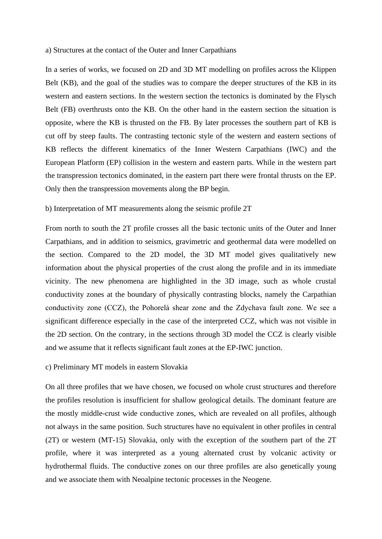#### a) Structures at the contact of the Outer and Inner Carpathians

In a series of works, we focused on 2D and 3D MT modelling on profiles across the Klippen Belt (KB), and the goal of the studies was to compare the deeper structures of the KB in its western and eastern sections. In the western section the tectonics is dominated by the Flysch Belt (FB) overthrusts onto the KB. On the other hand in the eastern section the situation is opposite, where the KB is thrusted on the FB. By later processes the southern part of KB is cut off by steep faults. The contrasting tectonic style of the western and eastern sections of KB reflects the different kinematics of the Inner Western Carpathians (IWC) and the European Platform (EP) collision in the western and eastern parts. While in the western part the transpression tectonics dominated, in the eastern part there were frontal thrusts on the EP. Only then the transpression movements along the BP begin.

### b) Interpretation of MT measurements along the seismic profile 2T

From north to south the 2T profile crosses all the basic tectonic units of the Outer and Inner Carpathians, and in addition to seismics, gravimetric and geothermal data were modelled on the section. Compared to the 2D model, the 3D MT model gives qualitatively new information about the physical properties of the crust along the profile and in its immediate vicinity. The new phenomena are highlighted in the 3D image, such as whole crustal conductivity zones at the boundary of physically contrasting blocks, namely the Carpathian conductivity zone (CCZ), the Pohorelá shear zone and the Zdychava fault zone. We see a significant difference especially in the case of the interpreted CCZ, which was not visible in the 2D section. On the contrary, in the sections through 3D model the CCZ is clearly visible and we assume that it reflects significant fault zones at the EP-IWC junction.

### c) Preliminary MT models in eastern Slovakia

On all three profiles that we have chosen, we focused on whole crust structures and therefore the profiles resolution is insufficient for shallow geological details. The dominant feature are the mostly middle-crust wide conductive zones, which are revealed on all profiles, although not always in the same position. Such structures have no equivalent in other profiles in central (2T) or western (MT-15) Slovakia, only with the exception of the southern part of the 2T profile, where it was interpreted as a young alternated crust by volcanic activity or hydrothermal fluids. The conductive zones on our three profiles are also genetically young and we associate them with Neoalpine tectonic processes in the Neogene.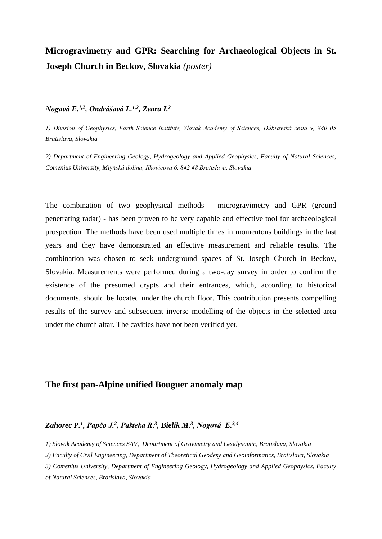# **Microgravimetry and GPR: Searching for Archaeological Objects in St. Joseph Church in Beckov, Slovakia** *(poster)*

## *Nogová E.1,2, Ondrášová L.1,2, Zvara I.<sup>2</sup>*

*1) Division of Geophysics, Earth Science Institute, Slovak Academy of Sciences, Dúbravská cesta 9, 840 05 Bratislava, Slovakia*

*2) Department of Engineering Geology, Hydrogeology and Applied Geophysics, Faculty of Natural Sciences, Comenius University, Mlynská dolina, Ilkovičova 6, 842 48 Bratislava, Slovakia*

The combination of two geophysical methods - microgravimetry and GPR (ground penetrating radar) - has been proven to be very capable and effective tool for archaeological prospection. The methods have been used multiple times in momentous buildings in the last years and they have demonstrated an effective measurement and reliable results. The combination was chosen to seek underground spaces of St. Joseph Church in Beckov, Slovakia. Measurements were performed during a two-day survey in order to confirm the existence of the presumed crypts and their entrances, which, according to historical documents, should be located under the church floor. This contribution presents compelling results of the survey and subsequent inverse modelling of the objects in the selected area under the church altar. The cavities have not been verified yet.

## **The first pan-Alpine unified Bouguer anomaly map**

### *Zahorec P.<sup>1</sup> , Papčo J. 2 , Pašteka R. 3 , Bielik M. 3 , Nogová E. 3,4*

*1) Slovak Academy of Sciences SAV, Department of Gravimetry and Geodynamic, Bratislava, Slovakia*

*2) Faculty of Civil Engineering, Department of Theoretical Geodesy and Geoinformatics, Bratislava, Slovakia*

*3) Comenius University, Department of Engineering Geology, Hydrogeology and Applied Geophysics, Faculty* 

*of Natural Sciences, Bratislava, Slovakia*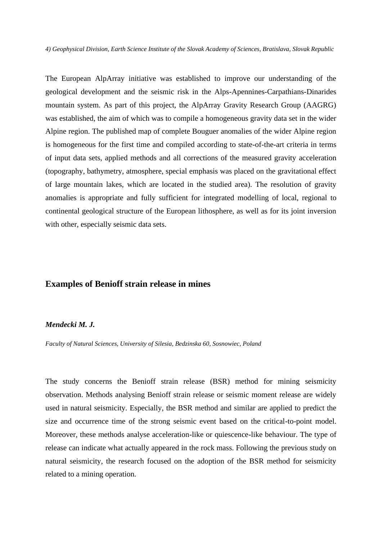*4) Geophysical Division, Earth Science Institute of the Slovak Academy of Sciences, Bratislava, Slovak Republic*

The European AlpArray initiative was established to improve our understanding of the geological development and the seismic risk in the Alps-Apennines-Carpathians-Dinarides mountain system. As part of this project, the AlpArray Gravity Research Group (AAGRG) was established, the aim of which was to compile a homogeneous gravity data set in the wider Alpine region. The published map of complete Bouguer anomalies of the wider Alpine region is homogeneous for the first time and compiled according to state-of-the-art criteria in terms of input data sets, applied methods and all corrections of the measured gravity acceleration (topography, bathymetry, atmosphere, special emphasis was placed on the gravitational effect of large mountain lakes, which are located in the studied area). The resolution of gravity anomalies is appropriate and fully sufficient for integrated modelling of local, regional to continental geological structure of the European lithosphere, as well as for its joint inversion with other, especially seismic data sets.

### **Examples of Benioff strain release in mines**

#### *Mendecki M. J.*

*Faculty of Natural Sciences, University of Silesia, Bedzinska 60, Sosnowiec, Poland*

The study concerns the Benioff strain release (BSR) method for mining seismicity observation. Methods analysing Benioff strain release or seismic moment release are widely used in natural seismicity. Especially, the BSR method and similar are applied to predict the size and occurrence time of the strong seismic event based on the critical-to-point model. Moreover, these methods analyse acceleration-like or quiescence-like behaviour. The type of release can indicate what actually appeared in the rock mass. Following the previous study on natural seismicity, the research focused on the adoption of the BSR method for seismicity related to a mining operation.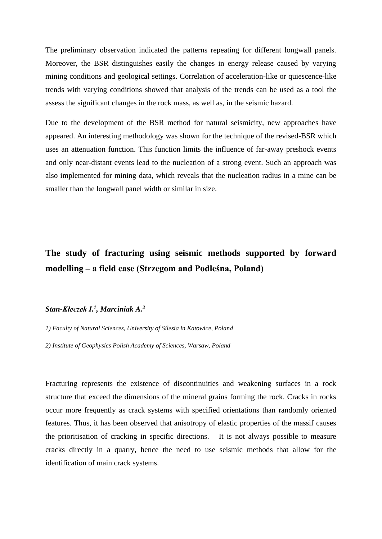The preliminary observation indicated the patterns repeating for different longwall panels. Moreover, the BSR distinguishes easily the changes in energy release caused by varying mining conditions and geological settings. Correlation of acceleration-like or quiescence-like trends with varying conditions showed that analysis of the trends can be used as a tool the assess the significant changes in the rock mass, as well as, in the seismic hazard.

Due to the development of the BSR method for natural seismicity, new approaches have appeared. An interesting methodology was shown for the technique of the revised-BSR which uses an attenuation function. This function limits the influence of far-away preshock events and only near-distant events lead to the nucleation of a strong event. Such an approach was also implemented for mining data, which reveals that the nucleation radius in a mine can be smaller than the longwall panel width or similar in size.

# **The study of fracturing using seismic methods supported by forward modelling – a field case (Strzegom and Podleśna, Poland)**

### *Stan-Kłeczek I. 1 , Marciniak A. 2*

*1) Faculty of Natural Sciences, University of Silesia in Katowice, Poland*

*2) Institute of Geophysics Polish Academy of Sciences, Warsaw, Poland* 

Fracturing represents the existence of discontinuities and weakening surfaces in a rock structure that exceed the dimensions of the mineral grains forming the rock. Cracks in rocks occur more frequently as crack systems with specified orientations than randomly oriented features. Thus, it has been observed that anisotropy of elastic properties of the massif causes the prioritisation of cracking in specific directions. It is not always possible to measure cracks directly in a quarry, hence the need to use seismic methods that allow for the identification of main crack systems.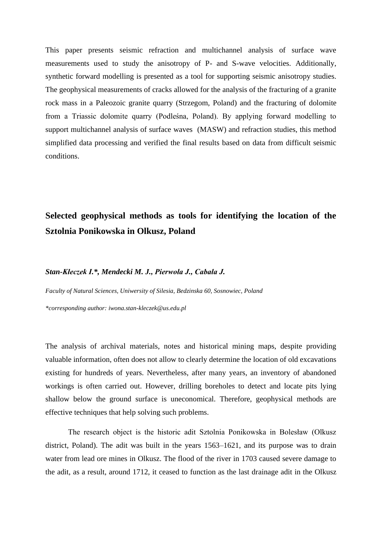This paper presents seismic refraction and multichannel analysis of surface wave measurements used to study the anisotropy of P- and S-wave velocities. Additionally, synthetic forward modelling is presented as a tool for supporting seismic anisotropy studies. The geophysical measurements of cracks allowed for the analysis of the fracturing of a granite rock mass in a Paleozoic granite quarry (Strzegom, Poland) and the fracturing of dolomite from a Triassic dolomite quarry (Podleśna, Poland). By applying forward modelling to support multichannel analysis of surface waves (MASW) and refraction studies, this method simplified data processing and verified the final results based on data from difficult seismic conditions.

# **Selected geophysical methods as tools for identifying the location of the Sztolnia Ponikowska in Olkusz, Poland**

#### *Stan-Kłeczek I.\*, Mendecki M. J., Pierwoła J., Cabała J.*

*Faculty of Natural Sciences, Uniwersity of Silesia, Bedzinska 60, Sosnowiec, Poland*

*\*corresponding author: iwona.stan-kleczek@us.edu.pl*

The analysis of archival materials, notes and historical mining maps, despite providing valuable information, often does not allow to clearly determine the location of old excavations existing for hundreds of years. Nevertheless, after many years, an inventory of abandoned workings is often carried out. However, drilling boreholes to detect and locate pits lying shallow below the ground surface is uneconomical. Therefore, geophysical methods are effective techniques that help solving such problems.

The research object is the historic adit Sztolnia Ponikowska in Bolesław (Olkusz district, Poland). The adit was built in the years 1563–1621, and its purpose was to drain water from lead ore mines in Olkusz. The flood of the river in 1703 caused severe damage to the adit, as a result, around 1712, it ceased to function as the last drainage adit in the Olkusz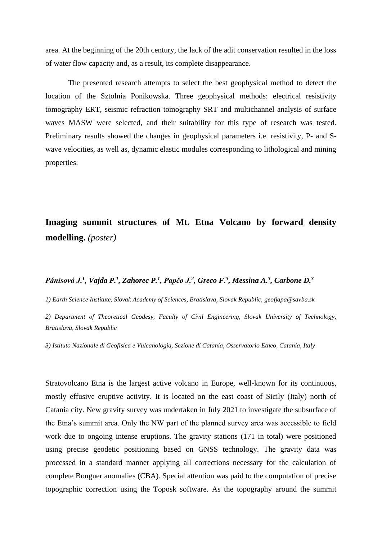area. At the beginning of the 20th century, the lack of the adit conservation resulted in the loss of water flow capacity and, as a result, its complete disappearance.

The presented research attempts to select the best geophysical method to detect the location of the Sztolnia Ponikowska. Three geophysical methods: electrical resistivity tomography ERT, seismic refraction tomography SRT and multichannel analysis of surface waves MASW were selected, and their suitability for this type of research was tested. Preliminary results showed the changes in geophysical parameters i.e. resistivity, P- and Swave velocities, as well as, dynamic elastic modules corresponding to lithological and mining properties.

# **Imaging summit structures of Mt. Etna Volcano by forward density modelling.** *(poster)*

### *Pánisová J. 1 , Vajda P. 1 , Zahorec P. 1 , Papčo J. 2 , Greco F. 3 , Messina A. 3 , Carbone D. 3*

*1) Earth Science Institute, Slovak Academy of Sciences, Bratislava, Slovak Republic, geofjapa@savba.sk*

*2) Department of Theoretical Geodesy, Faculty of Civil Engineering, Slovak University of Technology, Bratislava, Slovak Republic* 

*3) Istituto Nazionale di Geofisica e Vulcanologia, Sezione di Catania, Osservatorio Etneo, Catania, Italy*

Stratovolcano Etna is the largest active volcano in Europe, well-known for its continuous, mostly effusive eruptive activity. It is located on the east coast of Sicily (Italy) north of Catania city. New gravity survey was undertaken in July 2021 to investigate the subsurface of the Etna's summit area. Only the NW part of the planned survey area was accessible to field work due to ongoing intense eruptions. The gravity stations (171 in total) were positioned using precise geodetic positioning based on GNSS technology. The gravity data was processed in a standard manner applying all corrections necessary for the calculation of complete Bouguer anomalies (CBA). Special attention was paid to the computation of precise topographic correction using the Toposk software. As the topography around the summit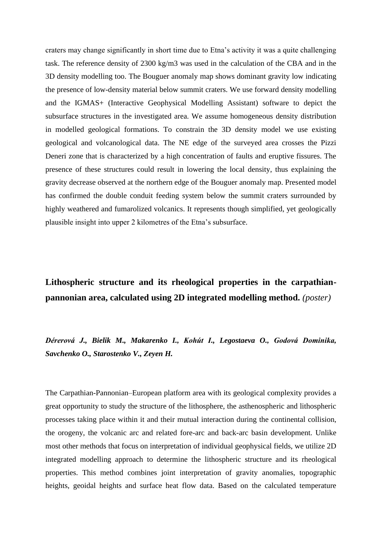craters may change significantly in short time due to Etna's activity it was a quite challenging task. The reference density of 2300 kg/m3 was used in the calculation of the CBA and in the 3D density modelling too. The Bouguer anomaly map shows dominant gravity low indicating the presence of low-density material below summit craters. We use forward density modelling and the IGMAS+ (Interactive Geophysical Modelling Assistant) software to depict the subsurface structures in the investigated area. We assume homogeneous density distribution in modelled geological formations. To constrain the 3D density model we use existing geological and volcanological data. The NE edge of the surveyed area crosses the Pizzi Deneri zone that is characterized by a high concentration of faults and eruptive fissures. The presence of these structures could result in lowering the local density, thus explaining the gravity decrease observed at the northern edge of the Bouguer anomaly map. Presented model has confirmed the double conduit feeding system below the summit craters surrounded by highly weathered and fumarolized volcanics. It represents though simplified, yet geologically plausible insight into upper 2 kilometres of the Etna's subsurface.

# **Lithospheric structure and its rheological properties in the carpathianpannonian area, calculated using 2D integrated modelling method.** *(poster)*

*Dérerová J., Bielik M., Makarenko I., Kohút I., Legostaeva O., Godová Dominika, Savchenko O., Starostenko V., Zeyen H.*

The Carpathian-Pannonian–European platform area with its geological complexity provides a great opportunity to study the structure of the lithosphere, the asthenospheric and lithospheric processes taking place within it and their mutual interaction during the continental collision, the orogeny, the volcanic arc and related fore-arc and back-arc basin development. Unlike most other methods that focus on interpretation of individual geophysical fields, we utilize 2D integrated modelling approach to determine the lithospheric structure and its rheological properties. This method combines joint interpretation of gravity anomalies, topographic heights, geoidal heights and surface heat flow data. Based on the calculated temperature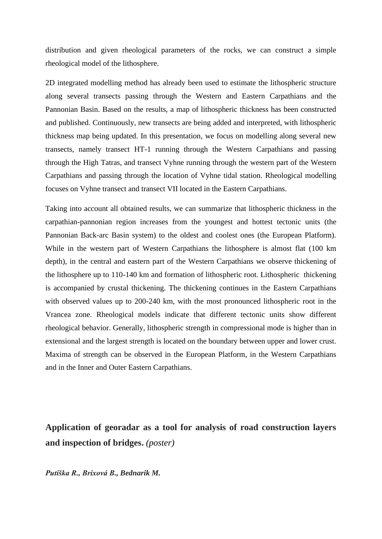distribution and given rheological parameters of the rocks, we can construct a simple rheological model of the lithosphere.

2D integrated modelling method has already been used to estimate the lithospheric structure along several transects passing through the Western and Eastern Carpathians and the Pannonian Basin. Based on the results, a map of lithospheric thickness has been constructed and published. Continuously, new transects are being added and interpreted, with lithospheric thickness map being updated. In this presentation, we focus on modelling along several new transects, namely transect HT-1 running through the Western Carpathians and passing through the High Tatras, and transect Vyhne running through the western part of the Western Carpathians and passing through the location of Vyhne tidal station. Rheological modelling focuses on Vyhne transect and transect VII located in the Eastern Carpathians.

Taking into account all obtained results, we can summarize that lithospheric thickness in the carpathian-pannonian region increases from the youngest and hottest tectonic units (the Pannonian Back-arc Basin system) to the oldest and coolest ones (the European Platform). While in the western part of Western Carpathians the lithosphere is almost flat (100 km depth), in the central and eastern part of the Western Carpathians we observe thickening of the lithosphere up to 110-140 km and formation of lithospheric root. Lithospheric thickening is accompanied by crustal thickening. The thickening continues in the Eastern Carpathians with observed values up to 200-240 km, with the most pronounced lithospheric root in the Vrancea zone. Rheological models indicate that different tectonic units show different rheological behavior. Generally, lithospheric strength in compressional mode is higher than in extensional and the largest strength is located on the boundary between upper and lower crust. Maxima of strength can be observed in the European Platform, in the Western Carpathians and in the Inner and Outer Eastern Carpathians.

**Application of georadar as a tool for analysis of road construction layers and inspection of bridges.** *(poster)*

*Putiška R., Brixová B., Bednarik M.*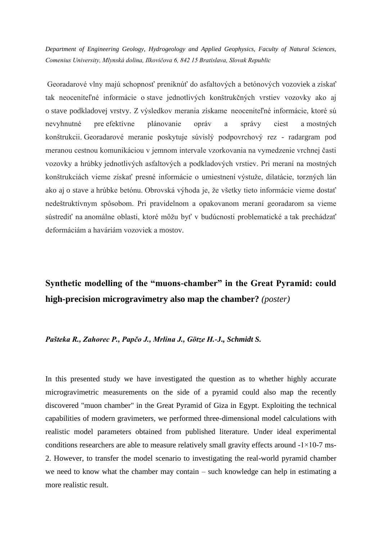*Department of Engineering Geology, Hydrogeology and Applied Geophysics, Faculty of Natural Sciences, Comenius University, Mlynská dolina, Ilkovičova 6, 842 15 Bratislava, Slovak Republic*

Georadarové vlny majú schopnosť preniknúť do asfaltových a betónových vozoviek a získať tak neoceniteľné informácie o stave jednotlivých konštrukčných vrstiev vozovky ako aj o stave podkladovej vrstvy. Z výsledkov merania získame neoceniteľné informácie, ktoré sú nevyhnutné pre efektívne plánovanie opráv a správy ciest a mostných konštrukcii. Georadarové meranie poskytuje súvislý podpovrchový rez - radargram pod meranou cestnou komunikáciou v jemnom intervale vzorkovania na vymedzenie vrchnej časti vozovky a hrúbky jednotlivých asfaltových a podkladových vrstiev. Pri meraní na mostných konštrukciách vieme získať presné informácie o umiestnení výstuže, dilatácie, torzných lán ako aj o stave a hrúbke betónu. Obrovská výhoda je, že všetky tieto informácie vieme dostať nedeštruktívnym spôsobom. Pri pravidelnom a opakovanom meraní georadarom sa vieme sústrediť na anomálne oblasti, ktoré môžu byť v budúcnosti problematické a tak prechádzať deformáciám a haváriám vozoviek a mostov.

# **Synthetic modelling of the "muons-chamber" in the Great Pyramid: could high-precision microgravimetry also map the chamber?** *(poster)*

### *Pašteka R., Zahorec P., Papčo J., Mrlina J., Götze H.-J., Schmidt S.*

In this presented study we have investigated the question as to whether highly accurate microgravimetric measurements on the side of a pyramid could also map the recently discovered "muon chamber" in the Great Pyramid of Giza in Egypt. Exploiting the technical capabilities of modern gravimeters, we performed three-dimensional model calculations with realistic model parameters obtained from published literature. Under ideal experimental conditions researchers are able to measure relatively small gravity effects around  $-1 \times 10$ -7 ms-2. However, to transfer the model scenario to investigating the real-world pyramid chamber we need to know what the chamber may contain – such knowledge can help in estimating a more realistic result.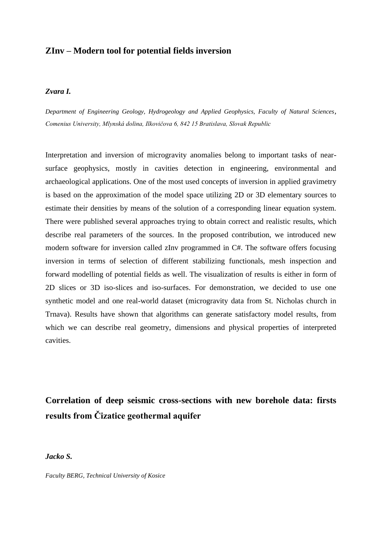## **ZInv – Modern tool for potential fields inversion**

#### *Zvara I.*

*Department of Engineering Geology, Hydrogeology and Applied Geophysics, Faculty of Natural Sciences, Comenius University, Mlynská dolina, Ilkovičova 6, 842 15 Bratislava, Slovak Republic*

Interpretation and inversion of microgravity anomalies belong to important tasks of nearsurface geophysics, mostly in cavities detection in engineering, environmental and archaeological applications. One of the most used concepts of inversion in applied gravimetry is based on the approximation of the model space utilizing 2D or 3D elementary sources to estimate their densities by means of the solution of a corresponding linear equation system. There were published several approaches trying to obtain correct and realistic results, which describe real parameters of the sources. In the proposed contribution, we introduced new modern software for inversion called zInv programmed in C#. The software offers focusing inversion in terms of selection of different stabilizing functionals, mesh inspection and forward modelling of potential fields as well. The visualization of results is either in form of 2D slices or 3D iso-slices and iso-surfaces. For demonstration, we decided to use one synthetic model and one real-world dataset (microgravity data from St. Nicholas church in Trnava). Results have shown that algorithms can generate satisfactory model results, from which we can describe real geometry, dimensions and physical properties of interpreted cavities.

**Correlation of deep seismic cross-sections with new borehole data: firsts results from Čizatice geothermal aquifer**

### *Jacko S.*

*Faculty BERG, Technical University of Kosice*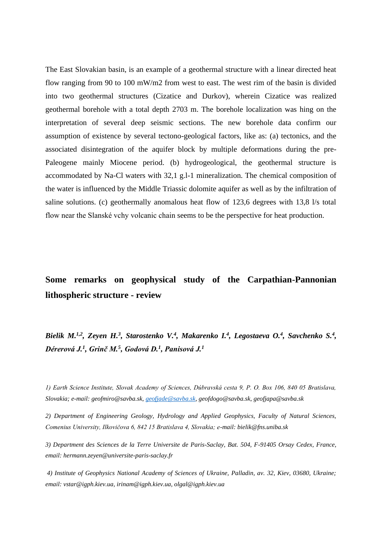The East Slovakian basin, is an example of a geothermal structure with a linear directed heat flow ranging from 90 to 100 mW/m2 from west to east. The west rim of the basin is divided into two geothermal structures (Cizatice and Durkov), wherein Cizatice was realized geothermal borehole with a total depth 2703 m. The borehole localization was hing on the interpretation of several deep seismic sections. The new borehole data confirm our assumption of existence by several tectono-geological factors, like as: (a) tectonics, and the associated disintegration of the aquifer block by multiple deformations during the pre-Paleogene mainly Miocene period. (b) hydrogeological, the geothermal structure is accommodated by Na-Cl waters with 32,1 g.l-1 mineralization. The chemical composition of the water is influenced by the Middle Triassic dolomite aquifer as well as by the infiltration of saline solutions. (c) geothermally anomalous heat flow of 123,6 degrees with 13,8 l/s total flow near the Slanské vchy volcanic chain seems to be the perspective for heat production.

# **Some remarks on geophysical study of the Carpathian-Pannonian lithospheric structure - review**

*Bielik M.<sup>1,2</sup>, Zeyen H.<sup>3</sup>, Starostenko V.<sup>4</sup>, Makarenko I.<sup>4</sup>, Legostaeva O.<sup>4</sup>, Savchenko S.<sup>4</sup>, Dérerová J.<sup>1</sup> , Grinč M.<sup>5</sup> , Godová D.<sup>1</sup> , Panisová J.<sup>1</sup>* 

*1) Earth Science Institute, Slovak Academy of Sciences, Dúbravská cesta 9, P. O. Box 106, 840 05 Bratislava, Slovakia; e-mail: geofmiro@savba.sk, [geofjade@savba.sk,](mailto:geofjade@savba.sk) geofdogo@savba.sk, geofjapa@savba.sk*

*2) Department of Engineering Geology, Hydrology and Applied Geophysics, Faculty of Natural Sciences, Comenius University, Ilkovičova 6, 842 15 Bratislava 4, Slovakia; e-mail: bielik@fns.uniba.sk*

*3) Department des Sciences de la Terre Universite de Paris-Saclay, Bat. 504, F-91405 Orsay Cedex, France, email: hermann.zeyen@universite-paris-saclay.fr*

*4) Institute of Geophysics National Academy of Sciences of Ukraine, Palladin, av. 32, Kiev, 03680, Ukraine; email: vstar@igph.kiev.ua, irinam@igph.kiev.ua, olgal@igph.kiev.ua*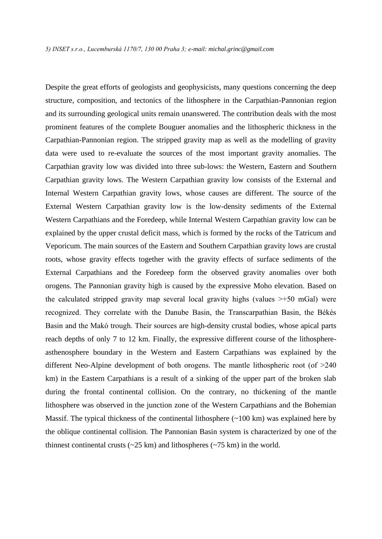Despite the great efforts of geologists and geophysicists, many questions concerning the deep structure, composition, and tectonics of the lithosphere in the Carpathian-Pannonian region and its surrounding geological units remain unanswered. The contribution deals with the most prominent features of the complete Bouguer anomalies and the lithospheric thickness in the Carpathian-Pannonian region. The stripped gravity map as well as the modelling of gravity data were used to re-evaluate the sources of the most important gravity anomalies. The Carpathian gravity low was divided into three sub-lows: the Western, Eastern and Southern Carpathian gravity lows. The Western Carpathian gravity low consists of the External and Internal Western Carpathian gravity lows, whose causes are different. The source of the External Western Carpathian gravity low is the low-density sediments of the External Western Carpathians and the Foredeep, while Internal Western Carpathian gravity low can be explained by the upper crustal deficit mass, which is formed by the rocks of the Tatricum and Veporicum. The main sources of the Eastern and Southern Carpathian gravity lows are crustal roots, whose gravity effects together with the gravity effects of surface sediments of the External Carpathians and the Foredeep form the observed gravity anomalies over both orogens. The Pannonian gravity high is caused by the expressive Moho elevation. Based on the calculated stripped gravity map several local gravity highs (values  $\geq +50$  mGal) were recognized. They correlate with the Danube Basin, the Transcarpathian Basin, the Békés Basin and the Makó trough. Their sources are high-density crustal bodies, whose apical parts reach depths of only 7 to 12 km. Finally, the expressive different course of the lithosphereasthenosphere boundary in the Western and Eastern Carpathians was explained by the different Neo-Alpine development of both orogens. The mantle lithospheric root (of >240 km) in the Eastern Carpathians is a result of a sinking of the upper part of the broken slab during the frontal continental collision. On the contrary, no thickening of the mantle lithosphere was observed in the junction zone of the Western Carpathians and the Bohemian Massif. The typical thickness of the continental lithosphere (~100 km) was explained here by the oblique continental collision. The Pannonian Basin system is characterized by one of the thinnest continental crusts  $(-25 \text{ km})$  and lithospheres  $(-75 \text{ km})$  in the world.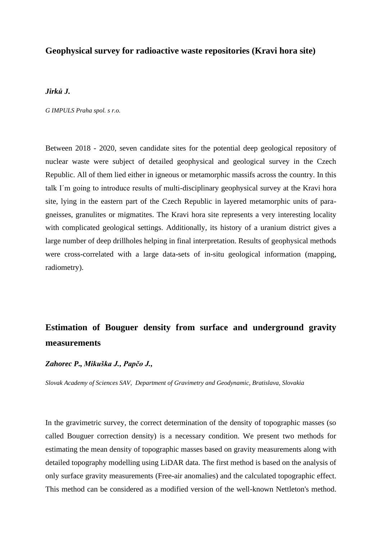## **Geophysical survey for radioactive waste repositories (Kravi hora site)**

### *Jirků J.*

*G IMPULS Praha spol. s r.o.*

Between 2018 - 2020, seven candidate sites for the potential deep geological repository of nuclear waste were subject of detailed geophysical and geological survey in the Czech Republic. All of them lied either in igneous or metamorphic massifs across the country. In this talk I´m going to introduce results of multi-disciplinary geophysical survey at the Kravi hora site, lying in the eastern part of the Czech Republic in layered metamorphic units of paragneisses, granulites or migmatites. The Kravi hora site represents a very interesting locality with complicated geological settings. Additionally, its history of a uranium district gives a large number of deep drillholes helping in final interpretation. Results of geophysical methods were cross-correlated with a large data-sets of in-situ geological information (mapping, radiometry).

# **Estimation of Bouguer density from surface and underground gravity measurements**

### *Zahorec P., Mikuška J., Papčo J.,*

*Slovak Academy of Sciences SAV, Department of Gravimetry and Geodynamic, Bratislava, Slovakia*

In the gravimetric survey, the correct determination of the density of topographic masses (so called Bouguer correction density) is a necessary condition. We present two methods for estimating the mean density of topographic masses based on gravity measurements along with detailed topography modelling using LiDAR data. The first method is based on the analysis of only surface gravity measurements (Free-air anomalies) and the calculated topographic effect. This method can be considered as a modified version of the well-known Nettleton's method.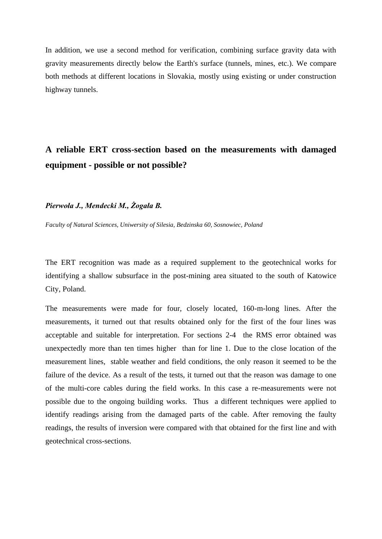In addition, we use a second method for verification, combining surface gravity data with gravity measurements directly below the Earth's surface (tunnels, mines, etc.). We compare both methods at different locations in Slovakia, mostly using existing or under construction highway tunnels.

# **A reliable ERT cross-section based on the measurements with damaged equipment - possible or not possible?**

### *Pierwoła J., Mendecki M., Żogała B.*

*Faculty of Natural Sciences, Uniwersity of Silesia, Bedzinska 60, Sosnowiec, Poland*

The ERT recognition was made as a required supplement to the geotechnical works for identifying a shallow subsurface in the post-mining area situated to the south of Katowice City, Poland.

The measurements were made for four, closely located, 160-m-long lines. After the measurements, it turned out that results obtained only for the first of the four lines was acceptable and suitable for interpretation. For sections 2-4 the RMS error obtained was unexpectedly more than ten times higher than for line 1. Due to the close location of the measurement lines, stable weather and field conditions, the only reason it seemed to be the failure of the device. As a result of the tests, it turned out that the reason was damage to one of the multi-core cables during the field works. In this case a re-measurements were not possible due to the ongoing building works. Thus a different techniques were applied to identify readings arising from the damaged parts of the cable. After removing the faulty readings, the results of inversion were compared with that obtained for the first line and with geotechnical cross-sections.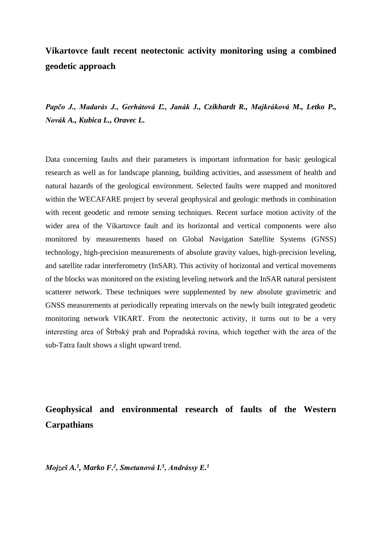# **Vikartovce fault recent neotectonic activity monitoring using a combined geodetic approach**

*Papčo J., Madarás J., Gerhátová Ľ., Janák J., Czikhardt R., Majkráková M., Letko P., Novák A., Kubica L., Oravec L.*

Data concerning faults and their parameters is important information for basic geological research as well as for landscape planning, building activities, and assessment of health and natural hazards of the geological environment. Selected faults were mapped and monitored within the WECAFARE project by several geophysical and geologic methods in combination with recent geodetic and remote sensing techniques. Recent surface motion activity of the wider area of the Vikartovce fault and its horizontal and vertical components were also monitored by measurements based on Global Navigation Satellite Systems (GNSS) technology, high-precision measurements of absolute gravity values, high-precision leveling, and satellite radar interferometry (InSAR). This activity of horizontal and vertical movements of the blocks was monitored on the existing leveling network and the InSAR natural persistent scatterer network. These techniques were supplemented by new absolute gravimetric and GNSS measurements at periodically repeating intervals on the newly built integrated geodetic monitoring network VIKART. From the neotectonic activity, it turns out to be a very interesting area of Štrbský prah and Popradská rovina, which together with the area of the sub-Tatra fault shows a slight upward trend.

**Geophysical and environmental research of faults of the Western Carpathians**

*Mojzeš A.<sup>1</sup> , Marko F.<sup>2</sup> , Smetanová I.<sup>3</sup> , Andrássy E.<sup>1</sup>*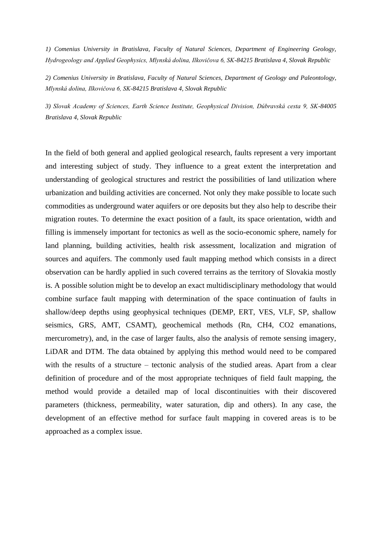*1) Comenius University in Bratislava, Faculty of Natural Sciences, Department of Engineering Geology, Hydrogeology and Applied Geophysics, Mlynská dolina, Ilkovičova 6, SK-84215 Bratislava 4, Slovak Republic*

*2) Comenius University in Bratislava, Faculty of Natural Sciences, Department of Geology and Paleontology, Mlynská dolina, Ilkovičova 6, SK-84215 Bratislava 4, Slovak Republic*

*3) Slovak Academy of Sciences, Earth Science Institute, Geophysical Division, Dúbravská cesta 9, SK-84005 Bratislava 4, Slovak Republic*

In the field of both general and applied geological research, faults represent a very important and interesting subject of study. They influence to a great extent the interpretation and understanding of geological structures and restrict the possibilities of land utilization where urbanization and building activities are concerned. Not only they make possible to locate such commodities as underground water aquifers or ore deposits but they also help to describe their migration routes. To determine the exact position of a fault, its space orientation, width and filling is immensely important for tectonics as well as the socio-economic sphere, namely for land planning, building activities, health risk assessment, localization and migration of sources and aquifers. The commonly used fault mapping method which consists in a direct observation can be hardly applied in such covered terrains as the territory of Slovakia mostly is. A possible solution might be to develop an exact multidisciplinary methodology that would combine surface fault mapping with determination of the space continuation of faults in shallow/deep depths using geophysical techniques (DEMP, ERT, VES, VLF, SP, shallow seismics, GRS, AMT, CSAMT), geochemical methods (Rn, CH4, CO2 emanations, mercurometry), and, in the case of larger faults, also the analysis of remote sensing imagery, LiDAR and DTM. The data obtained by applying this method would need to be compared with the results of a structure – tectonic analysis of the studied areas. Apart from a clear definition of procedure and of the most appropriate techniques of field fault mapping, the method would provide a detailed map of local discontinuities with their discovered parameters (thickness, permeability, water saturation, dip and others). In any case, the development of an effective method for surface fault mapping in covered areas is to be approached as a complex issue.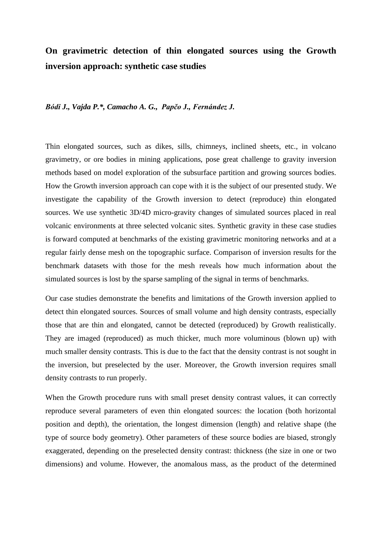# **On gravimetric detection of thin elongated sources using the Growth inversion approach: synthetic case studies**

#### *Bódi J., Vajda P.\*, Camacho A. G., Papčo J., Fernández J.*

Thin elongated sources, such as dikes, sills, chimneys, inclined sheets, etc., in volcano gravimetry, or ore bodies in mining applications, pose great challenge to gravity inversion methods based on model exploration of the subsurface partition and growing sources bodies. How the Growth inversion approach can cope with it is the subject of our presented study. We investigate the capability of the Growth inversion to detect (reproduce) thin elongated sources. We use synthetic 3D/4D micro-gravity changes of simulated sources placed in real volcanic environments at three selected volcanic sites. Synthetic gravity in these case studies is forward computed at benchmarks of the existing gravimetric monitoring networks and at a regular fairly dense mesh on the topographic surface. Comparison of inversion results for the benchmark datasets with those for the mesh reveals how much information about the simulated sources is lost by the sparse sampling of the signal in terms of benchmarks.

Our case studies demonstrate the benefits and limitations of the Growth inversion applied to detect thin elongated sources. Sources of small volume and high density contrasts, especially those that are thin and elongated, cannot be detected (reproduced) by Growth realistically. They are imaged (reproduced) as much thicker, much more voluminous (blown up) with much smaller density contrasts. This is due to the fact that the density contrast is not sought in the inversion, but preselected by the user. Moreover, the Growth inversion requires small density contrasts to run properly.

When the Growth procedure runs with small preset density contrast values, it can correctly reproduce several parameters of even thin elongated sources: the location (both horizontal position and depth), the orientation, the longest dimension (length) and relative shape (the type of source body geometry). Other parameters of these source bodies are biased, strongly exaggerated, depending on the preselected density contrast: thickness (the size in one or two dimensions) and volume. However, the anomalous mass, as the product of the determined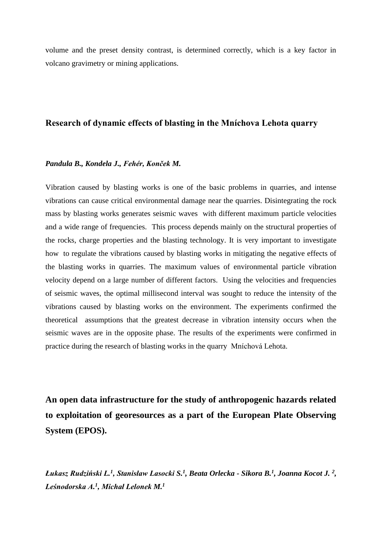volume and the preset density contrast, is determined correctly, which is a key factor in volcano gravimetry or mining applications.

## **Research of dynamic effects of blasting in the Mníchova Lehota quarry**

#### *Pandula B., Kondela J., Fehér, Konček M.*

Vibration caused by blasting works is one of the basic problems in quarries, and intense vibrations can cause critical environmental damage near the quarries. Disintegrating the rock mass by blasting works generates seismic waves with different maximum particle velocities and a wide range of frequencies. This process depends mainly on the structural properties of the rocks, charge properties and the blasting technology. It is very important to investigate how to regulate the vibrations caused by blasting works in mitigating the negative effects of the blasting works in quarries. The maximum values of environmental particle vibration velocity depend on a large number of different factors. Using the velocities and frequencies of seismic waves, the optimal millisecond interval was sought to reduce the intensity of the vibrations caused by blasting works on the environment. The experiments confirmed the theoretical assumptions that the greatest decrease in vibration intensity occurs when the seismic waves are in the opposite phase. The results of the experiments were confirmed in practice during the research of blasting works in the quarry Mníchová Lehota.

**An open data infrastructure for the study of anthropogenic hazards related to exploitation of georesources as a part of the European Plate Observing System (EPOS).**

*Łukasz Rudziński L.<sup>1</sup> , Stanisław Lasocki S.<sup>1</sup> , Beata Orlecka - Sikora B.<sup>1</sup> , Joanna Kocot J. <sup>2</sup> , Leśnodorska A. 1 , Michał Lelonek M.<sup>1</sup>*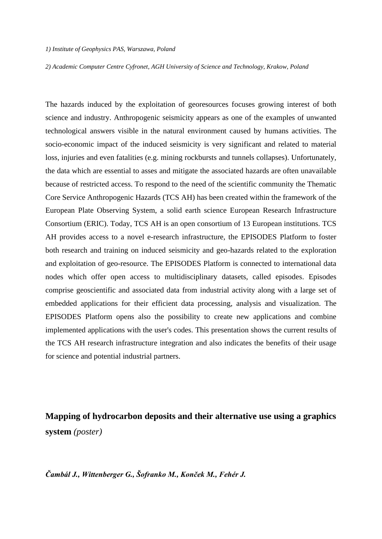#### *1) Institute of Geophysics PAS, Warszawa, Poland*

*2) Academic Computer Centre Cyfronet, AGH University of Science and Technology, Krakow, Poland*

The hazards induced by the exploitation of georesources focuses growing interest of both science and industry. Anthropogenic seismicity appears as one of the examples of unwanted technological answers visible in the natural environment caused by humans activities. The socio-economic impact of the induced seismicity is very significant and related to material loss, injuries and even fatalities (e.g. mining rockbursts and tunnels collapses). Unfortunately, the data which are essential to asses and mitigate the associated hazards are often unavailable because of restricted access. To respond to the need of the scientific community the Thematic Core Service Anthropogenic Hazards (TCS AH) has been created within the framework of the European Plate Observing System, a solid earth science European Research Infrastructure Consortium (ERIC). Today, TCS AH is an open consortium of 13 European institutions. TCS AH provides access to a novel e-research infrastructure, the EPISODES Platform to foster both research and training on induced seismicity and geo-hazards related to the exploration and exploitation of geo-resource. The EPISODES Platform is connected to international data nodes which offer open access to multidisciplinary datasets, called episodes. Episodes comprise geoscientific and associated data from industrial activity along with a large set of embedded applications for their efficient data processing, analysis and visualization. The EPISODES Platform opens also the possibility to create new applications and combine implemented applications with the user's codes. This presentation shows the current results of the TCS AH research infrastructure integration and also indicates the benefits of their usage for science and potential industrial partners.

**Mapping of hydrocarbon deposits and their alternative use using a graphics system** *(poster)*

*Čambál J., Wittenberger G., Šofranko M., Konček M., Fehér J.*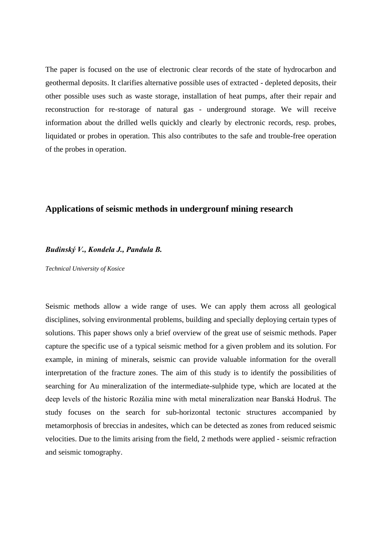The paper is focused on the use of electronic clear records of the state of hydrocarbon and geothermal deposits. It clarifies alternative possible uses of extracted - depleted deposits, their other possible uses such as waste storage, installation of heat pumps, after their repair and reconstruction for re-storage of natural gas - underground storage. We will receive information about the drilled wells quickly and clearly by electronic records, resp. probes, liquidated or probes in operation. This also contributes to the safe and trouble-free operation of the probes in operation.

## **Applications of seismic methods in undergrounf mining research**

### *Budinský V., Kondela J., Pandula B.*

*Technical University of Kosice*

Seismic methods allow a wide range of uses. We can apply them across all geological disciplines, solving environmental problems, building and specially deploying certain types of solutions. This paper shows only a brief overview of the great use of seismic methods. Paper capture the specific use of a typical seismic method for a given problem and its solution. For example, in mining of minerals, seismic can provide valuable information for the overall interpretation of the fracture zones. The aim of this study is to identify the possibilities of searching for Au mineralization of the intermediate-sulphide type, which are located at the deep levels of the historic Rozália mine with metal mineralization near Banská Hodruš. The study focuses on the search for sub-horizontal tectonic structures accompanied by metamorphosis of breccias in andesites, which can be detected as zones from reduced seismic velocities. Due to the limits arising from the field, 2 methods were applied - seismic refraction and seismic tomography.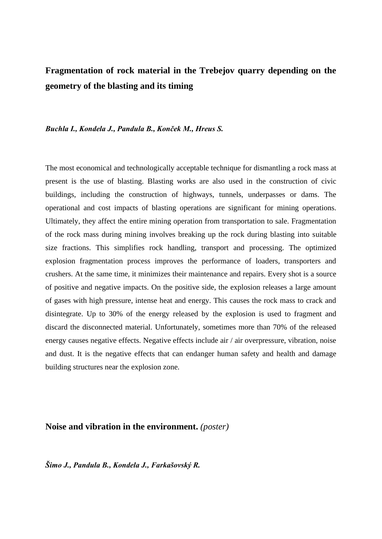# **Fragmentation of rock material in the Trebejov quarry depending on the geometry of the blasting and its timing**

#### *Buchla I., Kondela J., Pandula B., Konček M., Hreus S.*

The most economical and technologically acceptable technique for dismantling a rock mass at present is the use of blasting. Blasting works are also used in the construction of civic buildings, including the construction of highways, tunnels, underpasses or dams. The operational and cost impacts of blasting operations are significant for mining operations. Ultimately, they affect the entire mining operation from transportation to sale. Fragmentation of the rock mass during mining involves breaking up the rock during blasting into suitable size fractions. This simplifies rock handling, transport and processing. The optimized explosion fragmentation process improves the performance of loaders, transporters and crushers. At the same time, it minimizes their maintenance and repairs. Every shot is a source of positive and negative impacts. On the positive side, the explosion releases a large amount of gases with high pressure, intense heat and energy. This causes the rock mass to crack and disintegrate. Up to 30% of the energy released by the explosion is used to fragment and discard the disconnected material. Unfortunately, sometimes more than 70% of the released energy causes negative effects. Negative effects include air / air overpressure, vibration, noise and dust. It is the negative effects that can endanger human safety and health and damage building structures near the explosion zone.

### **Noise and vibration in the environment.** *(poster)*

*Šimo J., Pandula B., Kondela J., Farkašovský R.*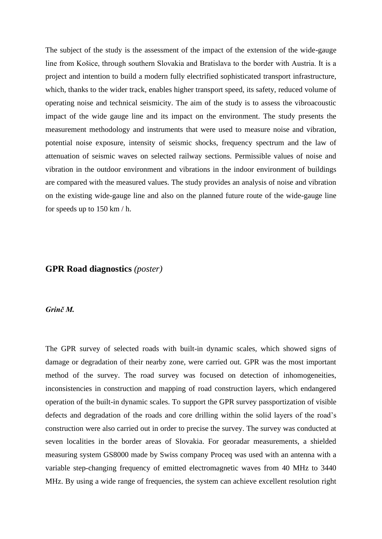The subject of the study is the assessment of the impact of the extension of the wide-gauge line from Košice, through southern Slovakia and Bratislava to the border with Austria. It is a project and intention to build a modern fully electrified sophisticated transport infrastructure, which, thanks to the wider track, enables higher transport speed, its safety, reduced volume of operating noise and technical seismicity. The aim of the study is to assess the vibroacoustic impact of the wide gauge line and its impact on the environment. The study presents the measurement methodology and instruments that were used to measure noise and vibration, potential noise exposure, intensity of seismic shocks, frequency spectrum and the law of attenuation of seismic waves on selected railway sections. Permissible values of noise and vibration in the outdoor environment and vibrations in the indoor environment of buildings are compared with the measured values. The study provides an analysis of noise and vibration on the existing wide-gauge line and also on the planned future route of the wide-gauge line for speeds up to 150 km / h.

### **GPR Road diagnostics** *(poster)*

#### *Grinč M.*

The GPR survey of selected roads with built-in dynamic scales, which showed signs of damage or degradation of their nearby zone, were carried out. GPR was the most important method of the survey. The road survey was focused on detection of inhomogeneities, inconsistencies in construction and mapping of road construction layers, which endangered operation of the built-in dynamic scales. To support the GPR survey passportization of visible defects and degradation of the roads and core drilling within the solid layers of the road's construction were also carried out in order to precise the survey. The survey was conducted at seven localities in the border areas of Slovakia. For georadar measurements, a shielded measuring system GS8000 made by Swiss company Proceq was used with an antenna with a variable step-changing frequency of emitted electromagnetic waves from 40 MHz to 3440 MHz. By using a wide range of frequencies, the system can achieve excellent resolution right